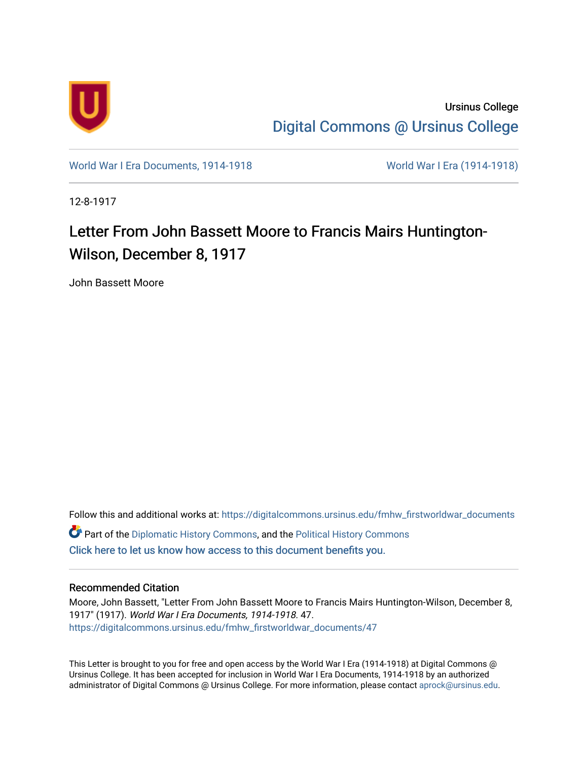

Ursinus College [Digital Commons @ Ursinus College](https://digitalcommons.ursinus.edu/) 

[World War I Era Documents, 1914-1918](https://digitalcommons.ursinus.edu/fmhw_firstworldwar_documents) [World War I Era \(1914-1918\)](https://digitalcommons.ursinus.edu/fmhw_firstworldwar) 

12-8-1917

## Letter From John Bassett Moore to Francis Mairs Huntington-Wilson, December 8, 1917

John Bassett Moore

Follow this and additional works at: [https://digitalcommons.ursinus.edu/fmhw\\_firstworldwar\\_documents](https://digitalcommons.ursinus.edu/fmhw_firstworldwar_documents?utm_source=digitalcommons.ursinus.edu%2Ffmhw_firstworldwar_documents%2F47&utm_medium=PDF&utm_campaign=PDFCoverPages)  **C** Part of the [Diplomatic History Commons,](http://network.bepress.com/hgg/discipline/497?utm_source=digitalcommons.ursinus.edu%2Ffmhw_firstworldwar_documents%2F47&utm_medium=PDF&utm_campaign=PDFCoverPages) and the [Political History Commons](http://network.bepress.com/hgg/discipline/505?utm_source=digitalcommons.ursinus.edu%2Ffmhw_firstworldwar_documents%2F47&utm_medium=PDF&utm_campaign=PDFCoverPages) [Click here to let us know how access to this document benefits you.](https://ursinus.co1.qualtrics.com/jfe/form/SV_1RIyfqzdxsWfMQ5) 

## Recommended Citation

Moore, John Bassett, "Letter From John Bassett Moore to Francis Mairs Huntington-Wilson, December 8, 1917" (1917). World War I Era Documents, 1914-1918. 47. [https://digitalcommons.ursinus.edu/fmhw\\_firstworldwar\\_documents/47](https://digitalcommons.ursinus.edu/fmhw_firstworldwar_documents/47?utm_source=digitalcommons.ursinus.edu%2Ffmhw_firstworldwar_documents%2F47&utm_medium=PDF&utm_campaign=PDFCoverPages) 

This Letter is brought to you for free and open access by the World War I Era (1914-1918) at Digital Commons @ Ursinus College. It has been accepted for inclusion in World War I Era Documents, 1914-1918 by an authorized administrator of Digital Commons @ Ursinus College. For more information, please contact [aprock@ursinus.edu.](mailto:aprock@ursinus.edu)